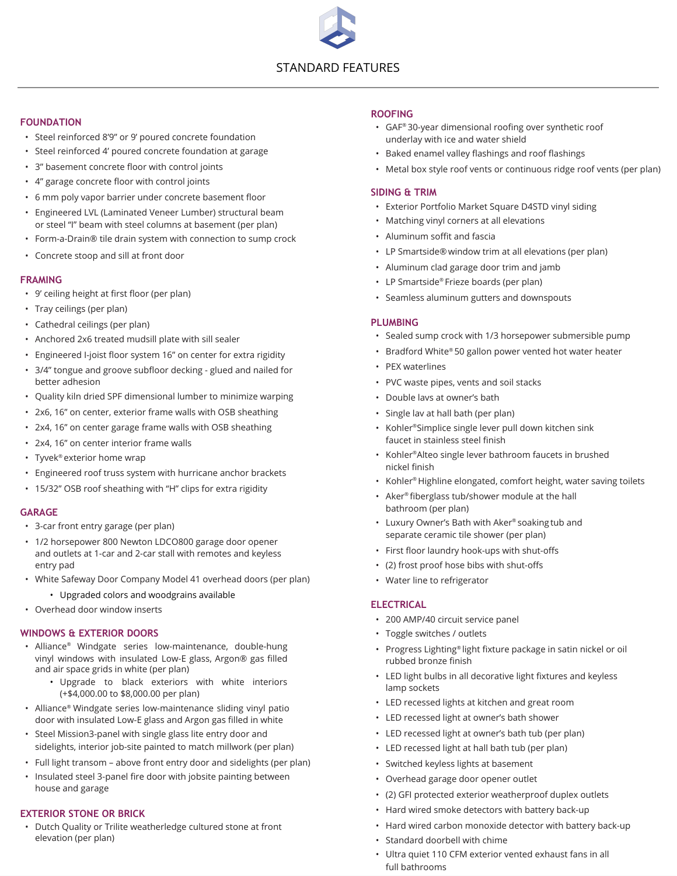# STANDARD FEATURES

# **FOUNDATION**

- Steel reinforced 8'9" or 9' poured concrete foundation
- Steel reinforced 4' poured concrete foundation at garage
- 3" basement concrete floor with control joints
- 4" garage concrete floor with control joints
- 6 mm poly vapor barrier under concrete basement floor
- Engineered LVL (Laminated Veneer Lumber) structural beam or steel "I" beam with steel columns at basement (per plan)
- Form-a-Drain® tile drain system with connection to sump crock
- Concrete stoop and sill at front door

#### **FRAMING**

- 9' ceiling height at first floor (per plan)
- Tray ceilings (per plan)
- Cathedral ceilings (per plan)
- Anchored 2x6 treated mudsill plate with sill sealer
- Engineered I-joist floor system 16" on center for extra rigidity
- 3/4" tongue and groove subfloor decking glued and nailed for better adhesion
- Quality kiln dried SPF dimensional lumber to minimize warping
- 2x6, 16" on center, exterior frame walls with OSB sheathing
- 2x4, 16" on center garage frame walls with OSB sheathing
- 2x4, 16" on center interior frame walls
- Tyvek ® exterior home wrap
- Engineered roof truss system with hurricane anchor brackets
- 15/32" OSB roof sheathing with "H" clips for extra rigidity

#### **GARAGE**

- 3-car front entry garage (per plan)
- 1/2 horsepower 800 Newton LDCO800 garage door opener and outlets at 1-car and 2-car stall with remotes and keyless entry pad
- White Safeway Door Company Model 41 overhead doors (per plan)
	- Upgraded colors and woodgrains available
- Overhead door window inserts

### **WINDOWS & EXTERIOR DOORS**

- Alliance ® Windgate series low-maintenance, double-hung vinyl windows with insulated Low-E glass, Argon® gas filled and air space grids in white (per plan)
	- Upgrade to black exteriors with white interiors (+\$4,000.00 to \$8,000.00 per plan)
- Alliance ® Windgate series low-maintenance sliding vinyl patio door with insulated Low-E glass and Argon gas filled in white
- Steel Mission3-panel with single glass lite entry door and sidelights, interior job-site painted to match millwork (per plan)
- Full light transom above front entry door and sidelights (per plan)
- Insulated steel 3-panel fire door with jobsite painting between house and garage

### **EXTERIOR STONE OR BRICK**

• Dutch Quality or Trilite weatherledge cultured stone at front elevation (per plan)

#### **ROOFING**

- GAF ® 30-year dimensional roofing over synthetic roof underlay with ice and water shield
- Baked enamel valley flashings and roof flashings
- Metal box style roof vents or continuous ridge roof vents (per plan)

#### **SIDING & TRIM**

- Exterior Portfolio Market Square D4STD vinyl siding
- Matching vinyl corners at all elevations
- Aluminum soffit and fascia
- LP Smartside® window trim at all elevations (per plan)
- Aluminum clad garage door trim and jamb
- LP Smartside ® Frieze boards (per plan)
- Seamless aluminum gutters and downspouts

#### **PLUMBING**

- Sealed sump crock with 1/3 horsepower submersible pump
- Bradford White ® 50 gallon power vented hot water heater
- PEX waterlines
- PVC waste pipes, vents and soil stacks
- Double lavs at owner's bath
- Single lav at hall bath (per plan)
- Kohler ®Simplice single lever pull down kitchen sink faucet in stainless steel finish
- Kohler ®Alteo single lever bathroom faucets in brushed nickel finish
- Kohler ® Highline elongated, comfort height, water saving toilets
- Aker ® fiberglass tub/shower module at the hall bathroom (per plan)
- Luxury Owner's Bath with Aker ® soaking tub and separate ceramic tile shower (per plan)
- First floor laundry hook-ups with shut-offs
- (2) frost proof hose bibs with shut-offs
- Water line to refrigerator

### **ELECTRICAL**

- 200 AMP/40 circuit service panel
- Toggle switches / outlets
- Progress Lighting® light fixture package in satin nickel or oil rubbed bronze finish
- LED light bulbs in all decorative light fixtures and keyless lamp sockets
- LED recessed lights at kitchen and great room
- LED recessed light at owner's bath shower
- LED recessed light at owner's bath tub (per plan)
- LED recessed light at hall bath tub (per plan)
- Switched keyless lights at basement
- Overhead garage door opener outlet
- (2) GFI protected exterior weatherproof duplex outlets
- Hard wired smoke detectors with battery back-up
- Hard wired carbon monoxide detector with battery back-up
- Standard doorbell with chime
- Ultra quiet 110 CFM exterior vented exhaust fans in all full bathrooms